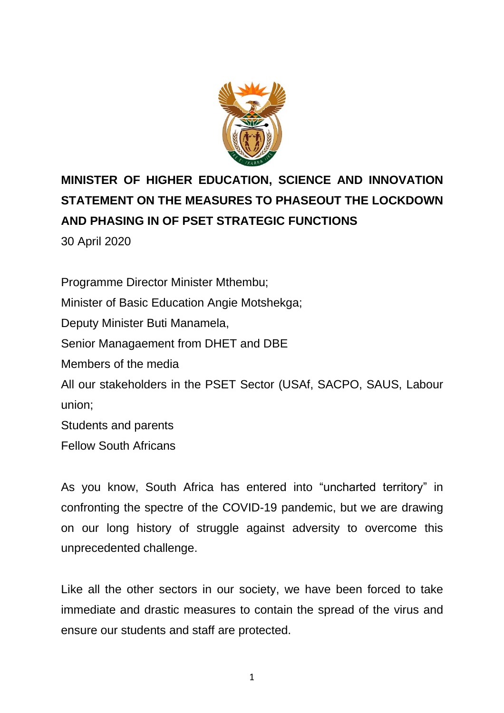

# **MINISTER OF HIGHER EDUCATION, SCIENCE AND INNOVATION STATEMENT ON THE MEASURES TO PHASEOUT THE LOCKDOWN AND PHASING IN OF PSET STRATEGIC FUNCTIONS**

30 April 2020

Programme Director Minister Mthembu; Minister of Basic Education Angie Motshekga; Deputy Minister Buti Manamela, Senior Managaement from DHET and DBE Members of the media All our stakeholders in the PSET Sector (USAf, SACPO, SAUS, Labour union; Students and parents Fellow South Africans

As you know, South Africa has entered into "uncharted territory" in confronting the spectre of the COVID-19 pandemic, but we are drawing on our long history of struggle against adversity to overcome this unprecedented challenge.

Like all the other sectors in our society, we have been forced to take immediate and drastic measures to contain the spread of the virus and ensure our students and staff are protected.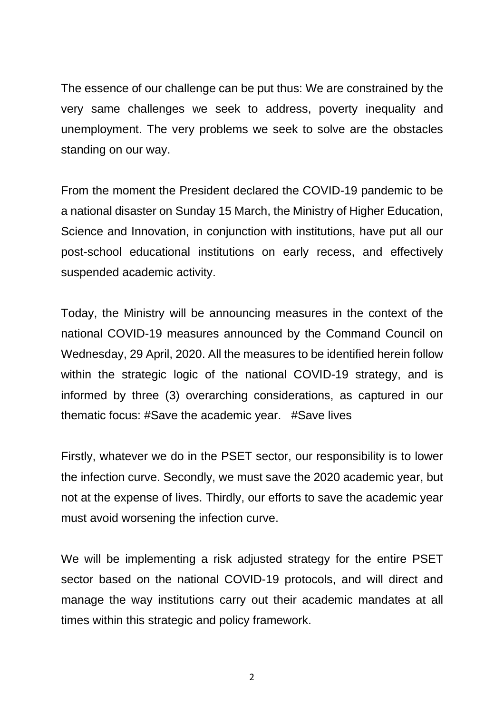The essence of our challenge can be put thus: We are constrained by the very same challenges we seek to address, poverty inequality and unemployment. The very problems we seek to solve are the obstacles standing on our way.

From the moment the President declared the COVID-19 pandemic to be a national disaster on Sunday 15 March, the Ministry of Higher Education, Science and Innovation, in conjunction with institutions, have put all our post-school educational institutions on early recess, and effectively suspended academic activity.

Today, the Ministry will be announcing measures in the context of the national COVID-19 measures announced by the Command Council on Wednesday, 29 April, 2020. All the measures to be identified herein follow within the strategic logic of the national COVID-19 strategy, and is informed by three (3) overarching considerations, as captured in our thematic focus: #Save the academic year. #Save lives

Firstly, whatever we do in the PSET sector, our responsibility is to lower the infection curve. Secondly, we must save the 2020 academic year, but not at the expense of lives. Thirdly, our efforts to save the academic year must avoid worsening the infection curve.

We will be implementing a risk adjusted strategy for the entire PSET sector based on the national COVID-19 protocols, and will direct and manage the way institutions carry out their academic mandates at all times within this strategic and policy framework.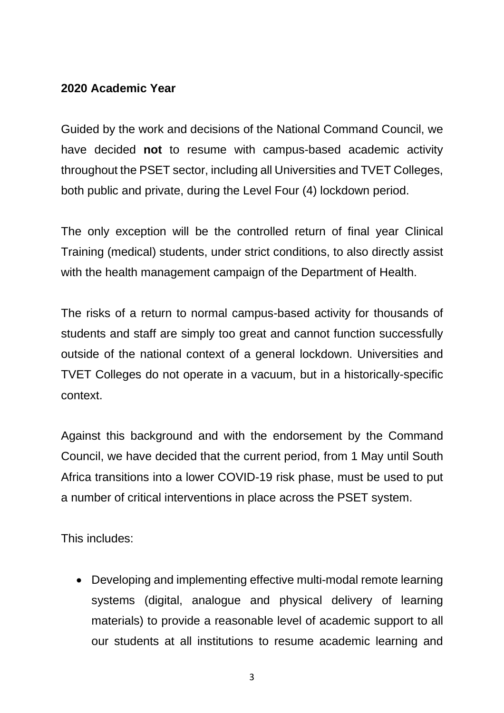### **2020 Academic Year**

Guided by the work and decisions of the National Command Council, we have decided **not** to resume with campus-based academic activity throughout the PSET sector, including all Universities and TVET Colleges, both public and private, during the Level Four (4) lockdown period.

The only exception will be the controlled return of final year Clinical Training (medical) students, under strict conditions, to also directly assist with the health management campaign of the Department of Health.

The risks of a return to normal campus-based activity for thousands of students and staff are simply too great and cannot function successfully outside of the national context of a general lockdown. Universities and TVET Colleges do not operate in a vacuum, but in a historically-specific context.

Against this background and with the endorsement by the Command Council, we have decided that the current period, from 1 May until South Africa transitions into a lower COVID-19 risk phase, must be used to put a number of critical interventions in place across the PSET system.

This includes:

• Developing and implementing effective multi-modal remote learning systems (digital, analogue and physical delivery of learning materials) to provide a reasonable level of academic support to all our students at all institutions to resume academic learning and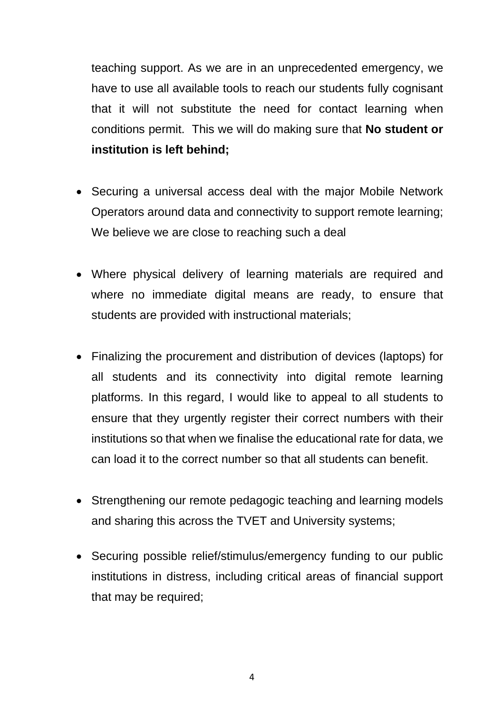teaching support. As we are in an unprecedented emergency, we have to use all available tools to reach our students fully cognisant that it will not substitute the need for contact learning when conditions permit. This we will do making sure that **No student or institution is left behind;**

- Securing a universal access deal with the major Mobile Network Operators around data and connectivity to support remote learning; We believe we are close to reaching such a deal
- Where physical delivery of learning materials are required and where no immediate digital means are ready, to ensure that students are provided with instructional materials;
- Finalizing the procurement and distribution of devices (laptops) for all students and its connectivity into digital remote learning platforms. In this regard, I would like to appeal to all students to ensure that they urgently register their correct numbers with their institutions so that when we finalise the educational rate for data, we can load it to the correct number so that all students can benefit.
- Strengthening our remote pedagogic teaching and learning models and sharing this across the TVET and University systems;
- Securing possible relief/stimulus/emergency funding to our public institutions in distress, including critical areas of financial support that may be required;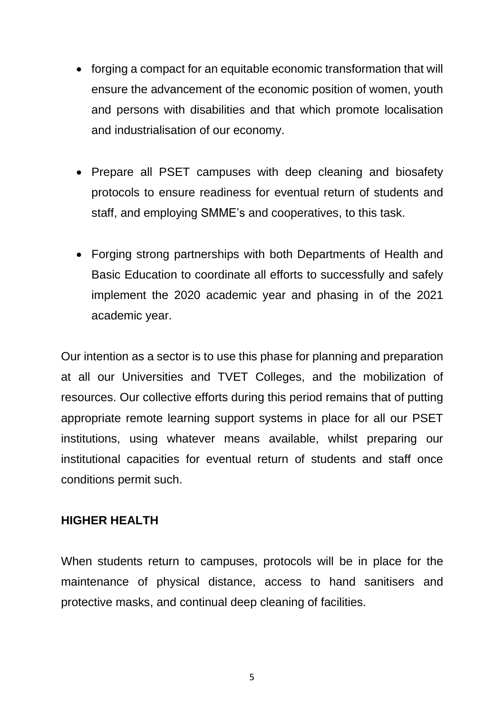- forging a compact for an equitable economic transformation that will ensure the advancement of the economic position of women, youth and persons with disabilities and that which promote localisation and industrialisation of our economy.
- Prepare all PSET campuses with deep cleaning and biosafety protocols to ensure readiness for eventual return of students and staff, and employing SMME's and cooperatives, to this task.
- Forging strong partnerships with both Departments of Health and Basic Education to coordinate all efforts to successfully and safely implement the 2020 academic year and phasing in of the 2021 academic year.

Our intention as a sector is to use this phase for planning and preparation at all our Universities and TVET Colleges, and the mobilization of resources. Our collective efforts during this period remains that of putting appropriate remote learning support systems in place for all our PSET institutions, using whatever means available, whilst preparing our institutional capacities for eventual return of students and staff once conditions permit such.

#### **HIGHER HEALTH**

When students return to campuses, protocols will be in place for the maintenance of physical distance, access to hand sanitisers and protective masks, and continual deep cleaning of facilities.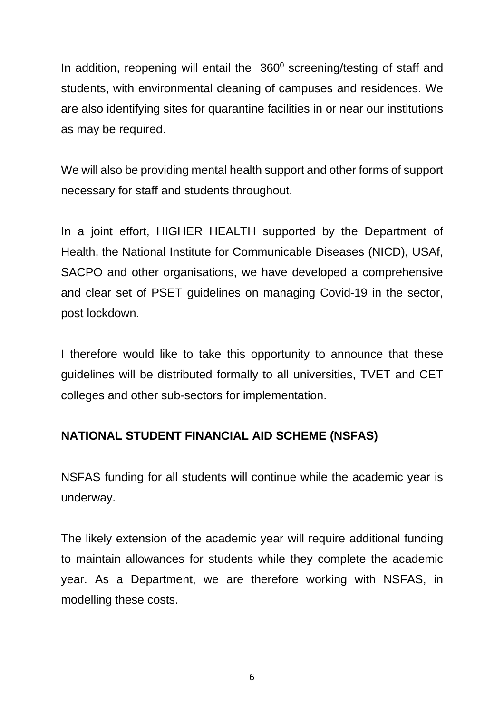In addition, reopening will entail the  $360^\circ$  screening/testing of staff and students, with environmental cleaning of campuses and residences. We are also identifying sites for quarantine facilities in or near our institutions as may be required.

We will also be providing mental health support and other forms of support necessary for staff and students throughout.

In a joint effort, HIGHER HEALTH supported by the Department of Health, the National Institute for Communicable Diseases (NICD), USAf, SACPO and other organisations, we have developed a comprehensive and clear set of PSET guidelines on managing Covid-19 in the sector, post lockdown.

I therefore would like to take this opportunity to announce that these guidelines will be distributed formally to all universities, TVET and CET colleges and other sub-sectors for implementation.

# **NATIONAL STUDENT FINANCIAL AID SCHEME (NSFAS)**

NSFAS funding for all students will continue while the academic year is underway.

The likely extension of the academic year will require additional funding to maintain allowances for students while they complete the academic year. As a Department, we are therefore working with NSFAS, in modelling these costs.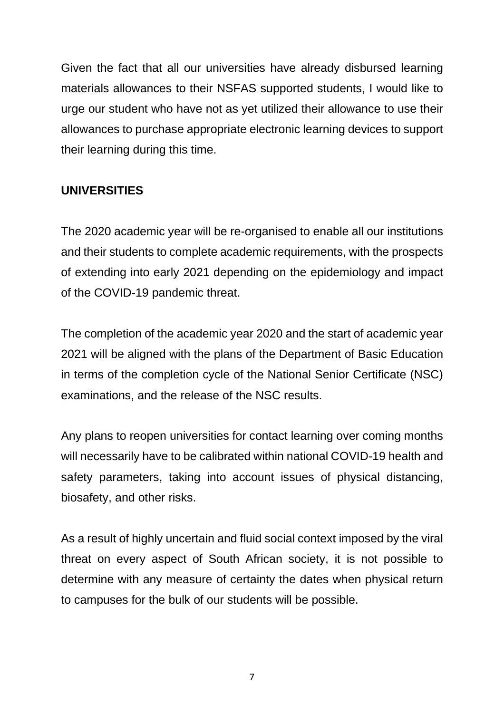Given the fact that all our universities have already disbursed learning materials allowances to their NSFAS supported students, I would like to urge our student who have not as yet utilized their allowance to use their allowances to purchase appropriate electronic learning devices to support their learning during this time.

# **UNIVERSITIES**

The 2020 academic year will be re-organised to enable all our institutions and their students to complete academic requirements, with the prospects of extending into early 2021 depending on the epidemiology and impact of the COVID-19 pandemic threat.

The completion of the academic year 2020 and the start of academic year 2021 will be aligned with the plans of the Department of Basic Education in terms of the completion cycle of the National Senior Certificate (NSC) examinations, and the release of the NSC results.

Any plans to reopen universities for contact learning over coming months will necessarily have to be calibrated within national COVID-19 health and safety parameters, taking into account issues of physical distancing, biosafety, and other risks.

As a result of highly uncertain and fluid social context imposed by the viral threat on every aspect of South African society, it is not possible to determine with any measure of certainty the dates when physical return to campuses for the bulk of our students will be possible.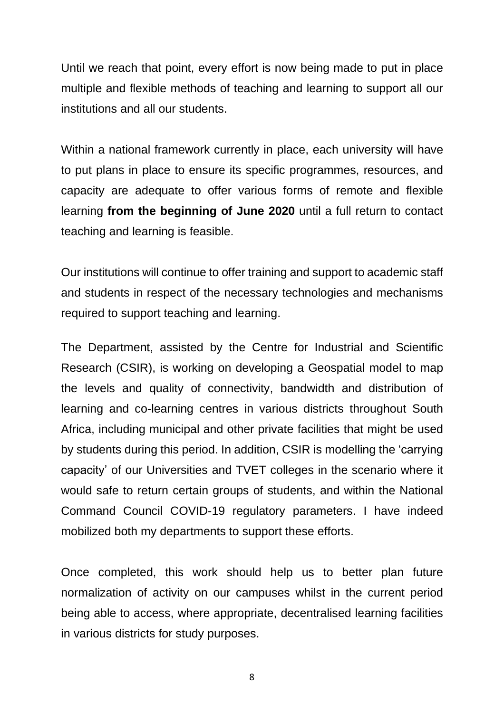Until we reach that point, every effort is now being made to put in place multiple and flexible methods of teaching and learning to support all our institutions and all our students.

Within a national framework currently in place, each university will have to put plans in place to ensure its specific programmes, resources, and capacity are adequate to offer various forms of remote and flexible learning **from the beginning of June 2020** until a full return to contact teaching and learning is feasible.

Our institutions will continue to offer training and support to academic staff and students in respect of the necessary technologies and mechanisms required to support teaching and learning.

The Department, assisted by the Centre for Industrial and Scientific Research (CSIR), is working on developing a Geospatial model to map the levels and quality of connectivity, bandwidth and distribution of learning and co-learning centres in various districts throughout South Africa, including municipal and other private facilities that might be used by students during this period. In addition, CSIR is modelling the 'carrying capacity' of our Universities and TVET colleges in the scenario where it would safe to return certain groups of students, and within the National Command Council COVID-19 regulatory parameters. I have indeed mobilized both my departments to support these efforts.

Once completed, this work should help us to better plan future normalization of activity on our campuses whilst in the current period being able to access, where appropriate, decentralised learning facilities in various districts for study purposes.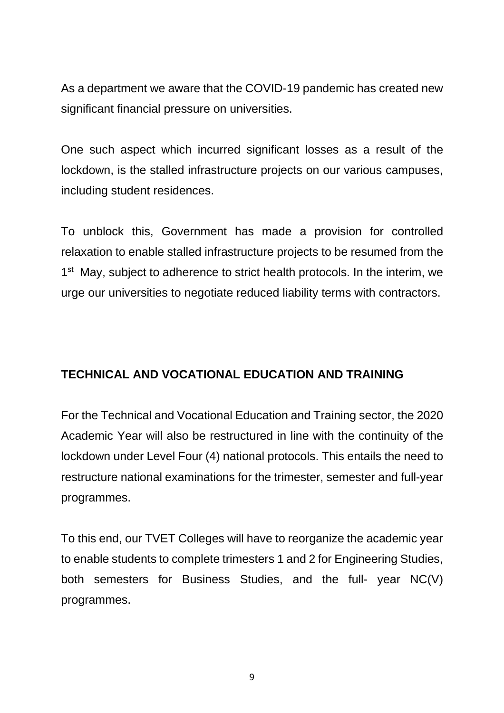As a department we aware that the COVID-19 pandemic has created new significant financial pressure on universities.

One such aspect which incurred significant losses as a result of the lockdown, is the stalled infrastructure projects on our various campuses, including student residences.

To unblock this, Government has made a provision for controlled relaxation to enable stalled infrastructure projects to be resumed from the 1<sup>st</sup> May, subject to adherence to strict health protocols. In the interim, we urge our universities to negotiate reduced liability terms with contractors.

# **TECHNICAL AND VOCATIONAL EDUCATION AND TRAINING**

For the Technical and Vocational Education and Training sector, the 2020 Academic Year will also be restructured in line with the continuity of the lockdown under Level Four (4) national protocols. This entails the need to restructure national examinations for the trimester, semester and full-year programmes.

To this end, our TVET Colleges will have to reorganize the academic year to enable students to complete trimesters 1 and 2 for Engineering Studies, both semesters for Business Studies, and the full- year NC(V) programmes.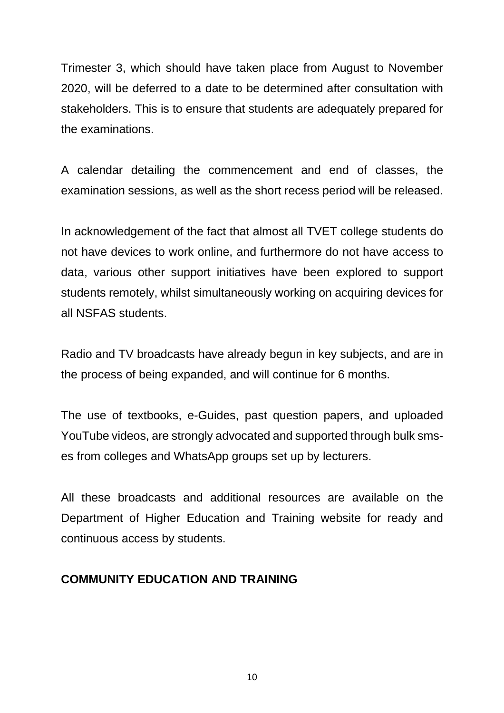Trimester 3, which should have taken place from August to November 2020, will be deferred to a date to be determined after consultation with stakeholders. This is to ensure that students are adequately prepared for the examinations.

A calendar detailing the commencement and end of classes, the examination sessions, as well as the short recess period will be released.

In acknowledgement of the fact that almost all TVET college students do not have devices to work online, and furthermore do not have access to data, various other support initiatives have been explored to support students remotely, whilst simultaneously working on acquiring devices for all NSFAS students.

Radio and TV broadcasts have already begun in key subjects, and are in the process of being expanded, and will continue for 6 months.

The use of textbooks, e-Guides, past question papers, and uploaded YouTube videos, are strongly advocated and supported through bulk smses from colleges and WhatsApp groups set up by lecturers.

All these broadcasts and additional resources are available on the Department of Higher Education and Training website for ready and continuous access by students.

### **COMMUNITY EDUCATION AND TRAINING**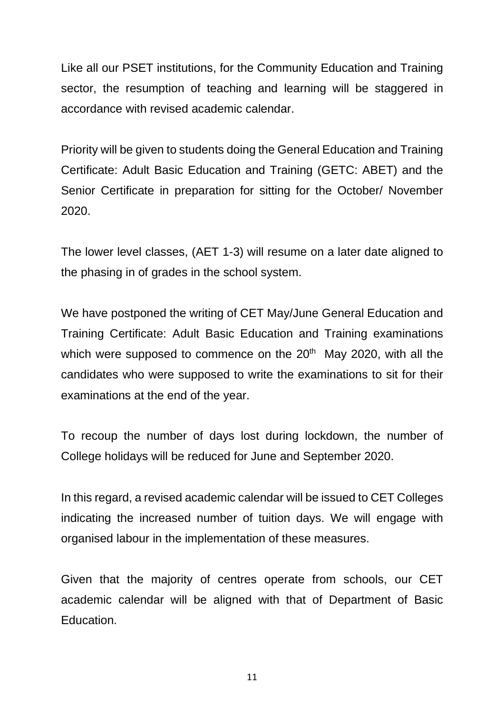Like all our PSET institutions, for the Community Education and Training sector, the resumption of teaching and learning will be staggered in accordance with revised academic calendar.

Priority will be given to students doing the General Education and Training Certificate: Adult Basic Education and Training (GETC: ABET) and the Senior Certificate in preparation for sitting for the October/ November 2020.

The lower level classes, (AET 1-3) will resume on a later date aligned to the phasing in of grades in the school system.

We have postponed the writing of CET May/June General Education and Training Certificate: Adult Basic Education and Training examinations which were supposed to commence on the 20<sup>th</sup> May 2020, with all the candidates who were supposed to write the examinations to sit for their examinations at the end of the year.

To recoup the number of days lost during lockdown, the number of College holidays will be reduced for June and September 2020.

In this regard, a revised academic calendar will be issued to CET Colleges indicating the increased number of tuition days. We will engage with organised labour in the implementation of these measures.

Given that the majority of centres operate from schools, our CET academic calendar will be aligned with that of Department of Basic Education.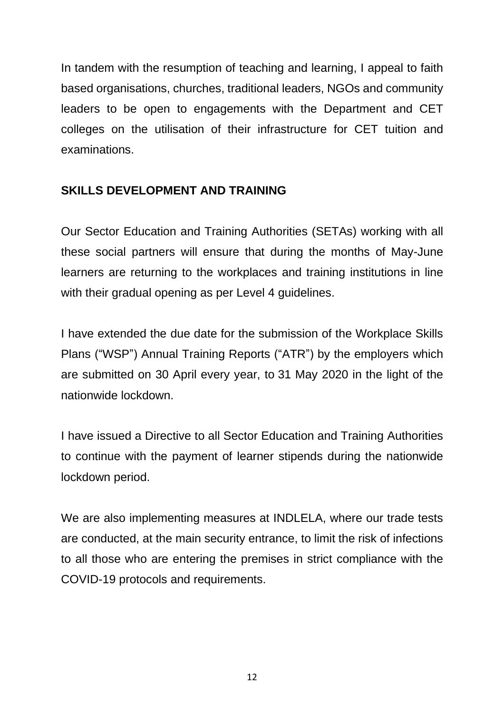In tandem with the resumption of teaching and learning, I appeal to faith based organisations, churches, traditional leaders, NGOs and community leaders to be open to engagements with the Department and CET colleges on the utilisation of their infrastructure for CET tuition and examinations.

## **SKILLS DEVELOPMENT AND TRAINING**

Our Sector Education and Training Authorities (SETAs) working with all these social partners will ensure that during the months of May-June learners are returning to the workplaces and training institutions in line with their gradual opening as per Level 4 guidelines.

I have extended the due date for the submission of the Workplace Skills Plans ("WSP") Annual Training Reports ("ATR") by the employers which are submitted on 30 April every year, to 31 May 2020 in the light of the nationwide lockdown.

I have issued a Directive to all Sector Education and Training Authorities to continue with the payment of learner stipends during the nationwide lockdown period.

We are also implementing measures at INDLELA, where our trade tests are conducted, at the main security entrance, to limit the risk of infections to all those who are entering the premises in strict compliance with the COVID-19 protocols and requirements.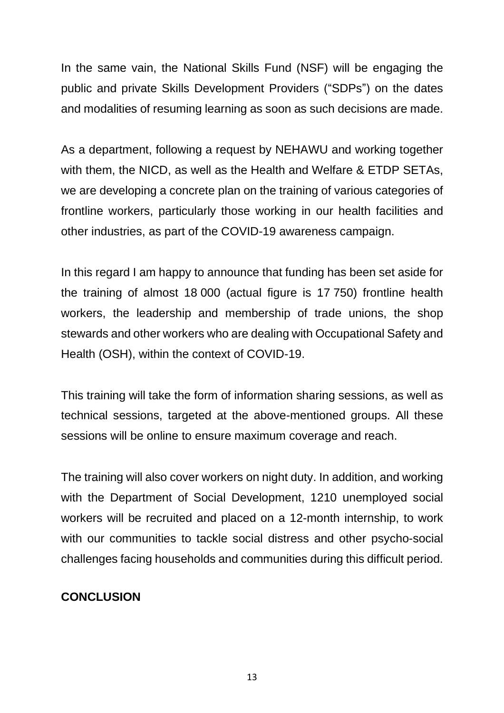In the same vain, the National Skills Fund (NSF) will be engaging the public and private Skills Development Providers ("SDPs") on the dates and modalities of resuming learning as soon as such decisions are made.

As a department, following a request by NEHAWU and working together with them, the NICD, as well as the Health and Welfare & ETDP SETAs, we are developing a concrete plan on the training of various categories of frontline workers, particularly those working in our health facilities and other industries, as part of the COVID-19 awareness campaign.

In this regard I am happy to announce that funding has been set aside for the training of almost 18 000 (actual figure is 17 750) frontline health workers, the leadership and membership of trade unions, the shop stewards and other workers who are dealing with Occupational Safety and Health (OSH), within the context of COVID-19.

This training will take the form of information sharing sessions, as well as technical sessions, targeted at the above-mentioned groups. All these sessions will be online to ensure maximum coverage and reach.

The training will also cover workers on night duty. In addition, and working with the Department of Social Development, 1210 unemployed social workers will be recruited and placed on a 12-month internship, to work with our communities to tackle social distress and other psycho-social challenges facing households and communities during this difficult period.

#### **CONCLUSION**